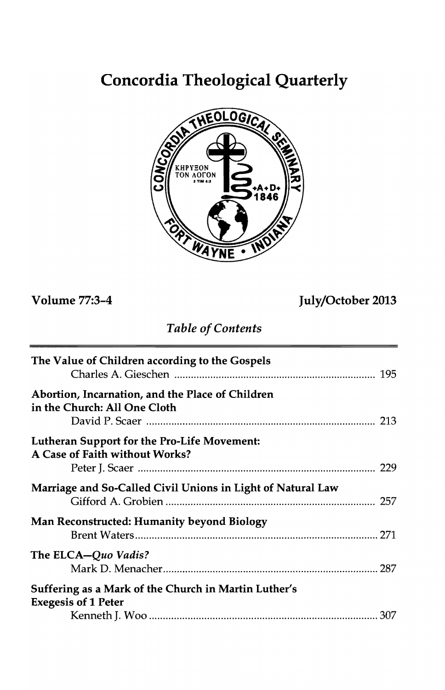# **Concordia Theological Quarterly**



**Volume 77:3-4 July/October 2013** 

# *Table of Contents*

| The Value of Children according to the Gospels                                     |  |
|------------------------------------------------------------------------------------|--|
| Abortion, Incarnation, and the Place of Children<br>in the Church: All One Cloth   |  |
| Lutheran Support for the Pro-Life Movement:<br>A Case of Faith without Works?      |  |
| Marriage and So-Called Civil Unions in Light of Natural Law                        |  |
| <b>Man Reconstructed: Humanity beyond Biology</b>                                  |  |
| The ELCA-Quo Vadis?                                                                |  |
| Suffering as a Mark of the Church in Martin Luther's<br><b>Exegesis of 1 Peter</b> |  |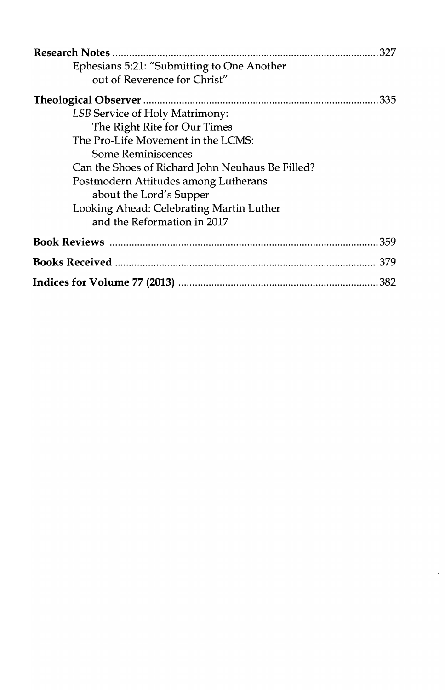|                                                  | 327  |
|--------------------------------------------------|------|
| Ephesians 5:21: "Submitting to One Another       |      |
| out of Reverence for Christ"                     |      |
|                                                  | .335 |
| LSB Service of Holy Matrimony:                   |      |
| The Right Rite for Our Times                     |      |
| The Pro-Life Movement in the LCMS:               |      |
| <b>Some Reminiscences</b>                        |      |
| Can the Shoes of Richard John Neuhaus Be Filled? |      |
| Postmodern Attitudes among Lutherans             |      |
| about the Lord's Supper                          |      |
| Looking Ahead: Celebrating Martin Luther         |      |
| and the Reformation in 2017                      |      |
|                                                  |      |
|                                                  |      |
|                                                  |      |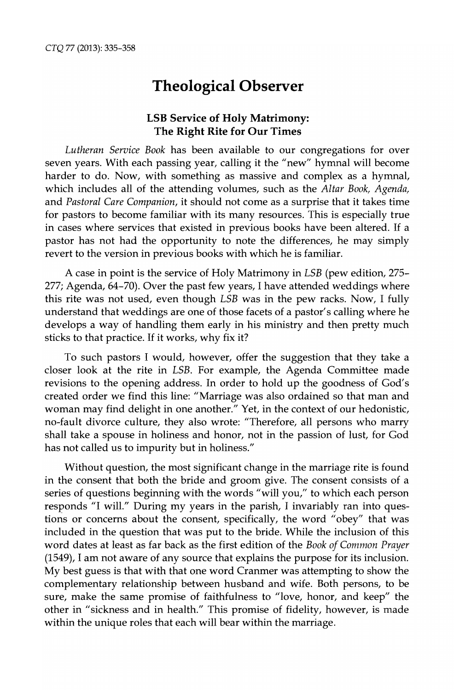# **Theological Observer**

# **LSB Service of Holy Matrimony: The Right Rite for Our Times**

*Lutheran Service Book* has been available to our congregations for over seven years. With each passing year, calling it the "new" hymnal will become harder to do. Now, with something as massive and complex as a hymnal, which includes all of the attending volumes, such as the *Altar Book, Agenda,*  and *Pastoral Care Companion,* it should not come as a surprise that it takes time for pastors to become familiar with its many resources. This is especially true in cases where services that existed in previous books have been altered. If a pastor has not had the opportunity to note the differences, he may simply revert to the version in previous books with which he is familiar.

A case in point is the service of Holy Matrimony in *L5B* (pew edition, 275- 277; Agenda, 64-70). Over the past few years, I have attended weddings where this rite was not used, even though *L5B* was in the pew racks. Now, I fully understand that weddings are one of those facets of a pastor's calling where he develops a way of handling them early in his ministry and then pretty much sticks to that practice. If it works, why fix it?

To such pastors I would, however, offer the suggestion that they take a closer look at the rite in *L5B.* For example, the Agenda Committee made revisions to the opening address. In order to hold up the goodness of God's created order we find this line: "Marriage was also ordained so that man and woman may find delight in one another." Yet, in the context of our hedonistic, no-fault divorce culture, they also wrote: "Therefore, all persons who marry shall take a spouse in holiness and honor, not in the passion of lust, for God has not called us to impurity but in holiness."

Without question, the most significant change in the marriage rite is found in the consent that both the bride and groom give. The consent consists of a series of questions beginning with the words "will you," to which each person responds "1 will." During my years in the parish, I invariably ran into questions or concerns about the consent, specifically, the word "obey" that was included in the question that was put to the bride. While the inclusion of this word dates at least as far back as the first edition of the *Book of Common Prayer*  (1549), I am not aware of any source that explains the purpose for its inclusion. My best guess is that with that one word Cranmer was attempting to show the complementary relationship between husband and wife. Both persons, to be sure, make the same promise of faithfulness to "love, honor, and keep" the other in "sickness and in health." This promise of fidelity, however, is made within the unique roles that each will bear within the marriage.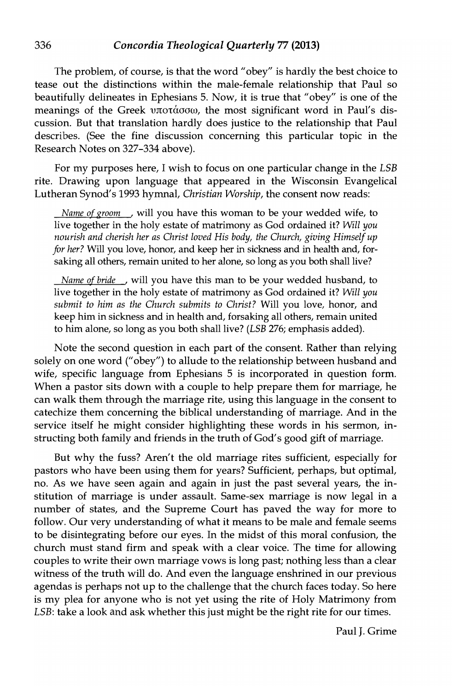The problem, of course, is that the word "obey" is hardly the best choice to tease out the distinctions within the male-female relationship that Paul so beautifully delineates in Ephesians 5. Now, it is true that "obey" is one of the meanings of the Greek  $v\pi$ orάσσω, the most significant word in Paul's discussion. But that translation hardly does justice to the relationship that Paul describes. (See the fine discussion concerning this particular topic in the Research Notes on 327-334 above).

For my purposes here, I wish to focus on one particular change in the *LSB*  rite. Drawing upon language that appeared in the Wisconsin Evangelical Lutheran Synod's 1993 hymnal, *Christian Worship,* the consent now reads:

*Name of groom,* will you have this woman to be your wedded wife, to live together in the holy estate of matrimony as God ordained it? *Will you nourish and cherish her as Christ loved His body, the Church, giving Himself up for her?* Will you love, honor, and keep her in sickness and in health and, forsaking all others, remain united to her alone, so long as you both shall live?

*Name of bride*, will you have this man to be your wedded husband, to live together in the holy estate of matrimony as God ordained it? *Will you submit to him as the Church submits to Christ?* Will you love, honor, and keep him in sickness and in health and, forsaking all others, remain united to him alone, so long as you both shall live? *(LSB* 276; emphasis added).

Note the second question in each part of the consent. Rather than relying solely on one word ("obey") to allude to the relationship between husband and wife, specific language from Ephesians 5 is incorporated in question form. When a pastor sits down with a couple to help prepare them for marriage, he can walk them through the marriage rite, using this language in the consent to catechize them concerning the biblical understanding of marriage. And in the service itself he might consider highlighting these words in his sermon, instructing both family and friends in the truth of God's good gift of marriage.

But why the fuss? Aren't the old marriage rites sufficient, especially for pastors who have been using them for years? Sufficient, perhaps, but optimal, no. As we have seen again and again in just the past several years, the institution of marriage is under assault. Same-sex marriage is now legal in a number of states, and the Supreme Court has paved the way for more to follow. Our very understanding of what it means to be male and female seems to be disintegrating before our eyes. In the midst of this moral confusion, the church must stand firm and speak with a clear voice. The time for allowing couples to write their own marriage vows is long past; nothing less than a clear witness of the truth will do. And even the language enshrined in our previous agendas is perhaps not up to the challenge that the church faces today. So here is my plea for anyone who is not yet using the rite of Holy Matrimony from *LSB*: take a look and ask whether this just might be the right rite for our times.

Paul J. Grime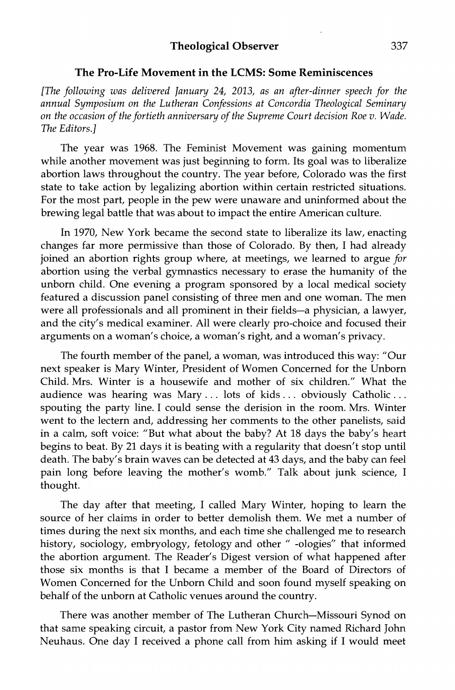#### **The Pro-Life Movement in the LCMS: Some Reminiscences**

[The *following was delivered January* 24, *2013, as an after-dinner speech for the annual Symposium on the Lutheran Confessions at Concordia Theological Seminary on the occasion of the fortieth anniversary of the Supreme Court decision Roe v. Wade.*  The *Editors.]* 

The year was 1968. The Feminist Movement was gaining momentum while another movement was just beginning to form. Its goal was to liberalize abortion laws throughout the country. The year before, Colorado was the first state to take action by legalizing abortion within certain restricted situations. For the most part, people in the pew were unaware and uninformed about the brewing legal battle that was about to impact the entire American culture.

In 1970, New York became the second state to liberalize its law, enacting changes far more permissive than those of Colorado. By then, I had already joined an abortion rights group where, at meetings, we learned to argue *for*  abortion using the verbal gymnastics necessary to erase the humanity of the unborn child. One evening a program sponsored by a local medical society featured a discussion panel consisting of three men and one woman. The men were all professionals and all prominent in their fields-a physician, a lawyer, and the city's medical examiner. All were clearly pro-choice and focused their arguments on a woman's choice, a woman's right, and a woman's privacy.

The fourth member of the panel, a woman, was introduced this way: "Our next speaker is Mary Winter, President of Women Concerned for the Unborn Child. Mrs. Winter is a housewife and mother of six children." What the audience was hearing was Mary. .. lots of kids. .. obviously Catholic ... spouting the party line. I could sense the derision in the room. Mrs. Winter went to the lectern and, addressing her comments to the other panelists, said in a calm, soft voice: "But what about the baby? At 18 days the baby's heart begins to beat. By 21 days it is beating with a regularity that doesn't stop until death. The baby's brain waves can be detected at 43 days, and the baby can feel pain long before leaving the mother's womb." Talk about junk science, I thought.

The day after that meeting, I called Mary Winter, hoping to learn the source of her claims in order to better demolish them. We met a number of times during the next six months, and each time she challenged me to research history, sociology, embryology, fetology and other "-ologies" that informed the abortion argument. The Reader's Digest version of what happened after those six months is that I became a member of the Board of Directors of Women Concerned for the Unborn Child and soon found myself speaking on behalf of the unborn at Catholic venues around the country.

There was another member of The Lutheran Church-Missouri Synod on that same speaking circuit, a pastor from New York City named Richard John Neuhaus. One day I received a phone call from him asking if I would meet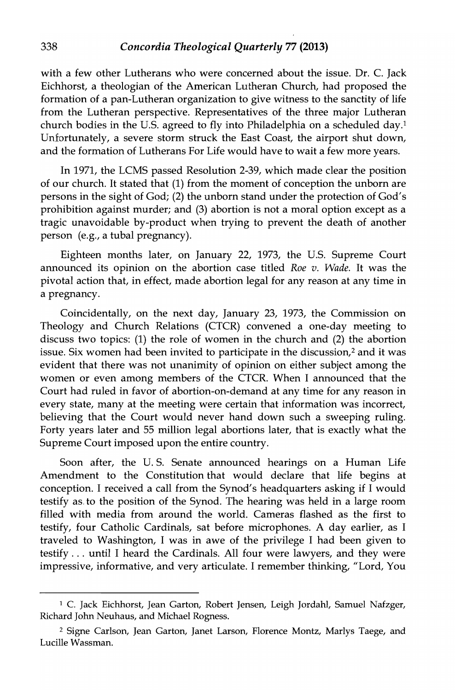with a few other Lutherans who were concerned about the issue. Dr. C. Jack Eichhorst, a theologian of the American Lutheran Church, had proposed the formation of a pan-Lutheran organization to give witness to the sanctity of life from the Lutheran perspective. Representatives of the three major Lutheran church bodies in the U.S. agreed to fly into Philadelphia on a scheduled day.<sup>1</sup> Unfortunately, a severe storm struck the East Coast, the airport shut down, and the formation of Lutherans For Life would have to wait a few more years.

In 1971, the LCMS passed Resolution 2-39, which made clear the position of our church. It stated that (1) from the moment of conception the unborn are persons in the sight of God; (2) the unborn stand under the protection of God's prohibition against murder; and (3) abortion is not a moral option except as a tragic unavoidable by-product when trying to prevent the death of another person (e.g., a tubal pregnancy).

Eighteen months later, on January 22, 1973, the U.S. Supreme Court announced its opinion on the abortion case titled *Roe v. Wade.* It was the pivotal action that, in effect, made abortion legal for any reason at any time in a pregnancy.

Coincidentally, on the next day, January 23, 1973, the Commission on Theology and Church Relations (CTCR) convened a one-day meeting to discuss two topics: (1) the role of women in the church and (2) the abortion issue. Six women had been invited to participate in the discussion,2 and it was evident that there was not unanimity of opinion on either subject among the women or even among members of the CTCR. When I announced that the Court had ruled in favor of abortion-on-demand at any time for any reason in every state, many at the meeting were certain that information was incorrect, believing that the Court would never hand down such a sweeping ruling. Forty years later and 55 million legal abortions later, that is exactly what the Supreme Court imposed upon the entire country.

Soon after, the U. S. Senate announced hearings on a Human Life Amendment to the Constitution that would declare that life begins at conception. I received a call from the Synod's headquarters asking if I would testify as. to the position of the Synod. The hearing was held in a large room filled with media from around the world. Cameras flashed as the first to testify, four Catholic Cardinals, sat before microphones. A day earlier, as I traveled to Washington, I was in awe of the privilege I had been given to testify ... until I heard the Cardinals. All four were lawyers, and they were impressive, informative, and very articulate. I remember thinking, "Lord, You

<sup>&</sup>lt;sup>1</sup> C. Jack Eichhorst, Jean Garton, Robert Jensen, Leigh Jordahl, Samuel Nafzger, Richard John Neuhaus, and Michael Rogness.

<sup>2</sup> Signe Carlson, Jean Garton, Janet Larson, Florence Montz, Marlys Taege, and Lucille Wassman.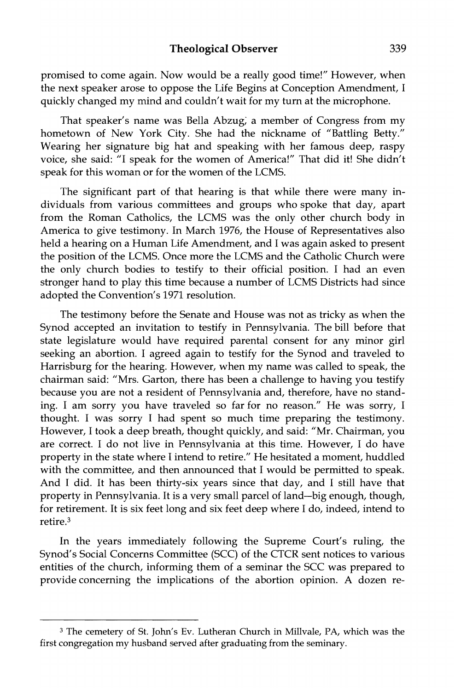promised to come again. Now would be a really good time!" However, when the next speaker arose to oppose the Life Begins at Conception Amendment, I quickly changed my mind and couldn't wait for my tum at the microphone.

That speaker's name was Bella Abzug; a member of Congress from my hometown of New York City. She had the nickname of "Battling Betty." Wearing her signature big hat and speaking with her famous deep, raspy voice, she said: "I speak for the women of America!" That did it! She didn't speak for this woman or for the women of the LCMS.

The significant part of that hearing is that while there were many individuals from various committees and groups who spoke that day, apart from the Roman Catholics, the LCMS was the only other church body in America to give testimony. In March 1976, the House of Representatives also held a hearing on a Human Life Amendment, and I was again asked to present the position of the LCMS. Once more the LCMS and the Catholic Church were the only church bodies to testify to their official position. I had an even stronger hand to play this time because a number of LCMS Districts had since adopted the Convention's 1971 resolution.

The testimony before the Senate and House was not as tricky as when the Synod accepted an invitation to testify in Pennsylvania. The bill before that state legislature would have required parental consent for any minor girl seeking an abortion. I agreed again to testify for the Synod and traveled to Harrisburg for the hearing. However, when my name was called to speak, the chairman said: "Mrs. Garton, there has been a challenge to having you testify because you are not a resident of Pennsylvania and, therefore, have no standing. I am sorry you have traveled so far for no reason." He was sorry, I thought. I was sorry I had spent so much time preparing the testimony. However, I took a deep breath, thought quickly, and said: "Mr. Chairman, you are correct. I do not live in Pennsylvania at this time. However, I do have property in the state where I intend to retire." He hesitated a moment, huddled with the committee, and then announced that I would be permitted to speak. And I did. It has been thirty-six years since that day, and I still have that property in Pennsylvania. It is a very small parcel of land-big enough, though, for retirement. It is six feet long and six feet deep where I do, indeed, intend to retire.3

In the years immediately following the Supreme Court's ruling, the Synod's Social Concerns Committee (SCC) of the CTCR sent notices to various entities of the church, informing them of a seminar the SCC was prepared to provide concerning the implications of the abortion opinion. A dozen re-

<sup>&</sup>lt;sup>3</sup> The cemetery of St. John's Ev. Lutheran Church in Millvale, PA, which was the first congregation my husband served after graduating from the seminary.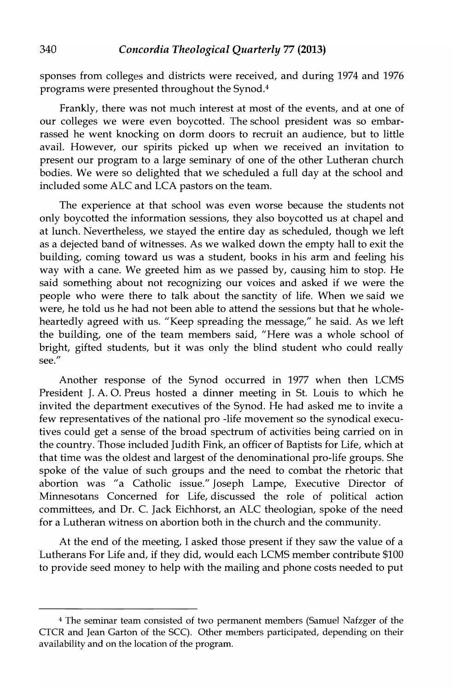sponses from colleges and districts were received, and during 1974 and 1976 programs were presented throughout the Synod. <sup>4</sup>

Frankly, there was not much interest at most of the events, and at one of our colleges we were even boycotted. The school president was so embarrassed he went knocking on dorm doors to recruit an audience, but to little avail. However, our spirits picked up when we received an invitation to present our program to a large seminary of one of the other Lutheran church bodies. We were so delighted that we scheduled a full day at the school and included some ALC and LCA pastors on the team.

The experience at that school was even worse because the students not only boycotted the information sessions, they also boycotted us at chapel and at lunch. Nevertheless, we stayed the entire day as scheduled, though we left as a dejected band of witnesses. As we walked down the empty hall to exit the building, coming toward us was a student, books in his arm and feeling his way with a cane. We greeted him as we passed by, causing him to stop. He said something about not recognizing our voices and asked if we were the people who were there to talk about the sanctity of life. When we said we were, he told us he had not been able to attend the sessions but that he wholeheartedly agreed with us. "Keep spreading the message," he said. As we left the building, one of the team members said, "Here was a whole school of bright, gifted students, but it was only the blind student who could really see."

Another response of the Synod occurred in 1977 when then LCMS President J. A. 0. Preus hosted a dinner meeting in St. Louis to which he invited the department executives of the Synod. He had asked me to invite a few representatives of the national pro -life movement so the synodical executives could get a sense of the broad spectrum of activities being carried on in the country. Those included Judith Fink, an officer of Baptists for Life, which at that time was the oldest and largest of the denominational pro-life groups. She spoke of the value of such groups and the need to combat the rhetoric that abortion was "a Catholic issue." Joseph Lampe, Executive Director of Minnesotans Concerned for Life, discussed the role of political action committees, and Dr. C. Jack Eichhorst, an ALC theologian, spoke of the need for a Lutheran witness on abortion both in the church and the community.

At the end of the meeting, I asked those present if they saw the value of a Lutherans For Life and, if they did, would each LCMS member contribute \$100 to provide seed money to help with the mailing and phone costs needed to put

<sup>4</sup> The seminar team consisted of two permanent members (Samuel Nafzger of the CTCR and Jean Garton of the SCC). Other members participated, depending on their availability and on the location of the program.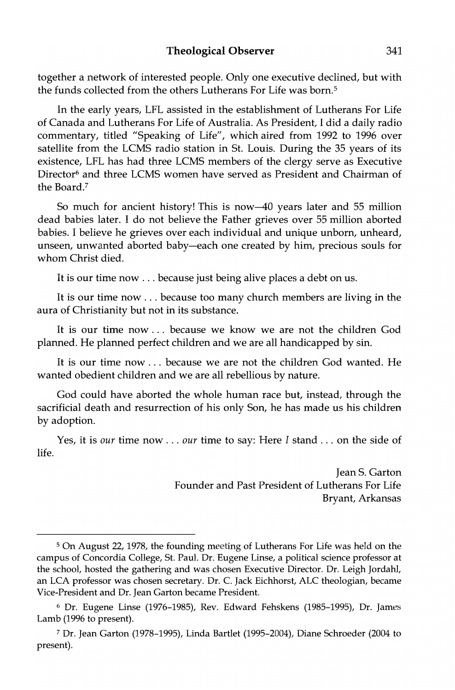#### Theological Observer 341

together a network of interested people. Only one executive declined, but with the funds collected from the others Lutherans For Life was born.<sup>5</sup>

In the early years, LFL assisted in the establishment of Lutherans For Life of Canada and Lutherans For Life of Australia. As President, J did a daily radio commentary, titled "Speaking of Life", which aired from 1992 to 1996 over satellite from the LCMS radio station in St. Louis. During the 35 years of its existence, LFL has had three LCMS members of the clergy serve as Executive Director<sup>6</sup> and three LCMS women have served as President and Chairman of the Board.<sup>7</sup>

So much for ancient history! This is now-40 years later and 55 million dead babies later. I do not believe the Father grieves over 55 million aborted babies. I believe he grieves over each individual and unique unborn, unheard, unseen, unwanted aborted baby-each one created by him, precious souls for whom Christ died.

It is our time now ... because just being alive places a debt on us.

It is our time now ... because too many church members are living in the aura of Christianity but not in its substance.

It is our time now. .. because we know we are not the children God planned. He planned perfect children and we are all handicapped by sin.

It is our time now ... because we are not the children God wanted. He wanted obedient children and we are all rebellious by nature.

God could have aborted the whole human race but, instead, through the sacrificial death and resurrection of his only Son, he has made us his children by adoption.

Yes, it is our time now ... our time to say: Here I stand ... on the side of life.

> Jean S. Garton Founder and Past President of Lutherans For Life Bryant, Arkansas

<sup>5</sup> On August 22, 1978, the founding meeting of Lutherans For Life was held on the campus of Concordia College, St. Paul. Dr. Eugene Linse, a political science professor at the school, hosted the gathering and was chosen Executive Director. Dr. Leigh Jordahl, an LCA professor was chosen secretary. Dr. C. Jack Eichhorst, ALC theologian, became Vice-President and Dr. Jean Garton became President.

<sup>&</sup>lt;sup>6</sup> Dr. Eugene Linse (1976-1985), Rev. Edward Fehskens (1985-1995), Dr. James Lamb (1996 to present).

<sup>7</sup> Dr. Jean Garton (1978-1995), Linda Bartlet (1995-2004), Diane Schroeder (2004 to present).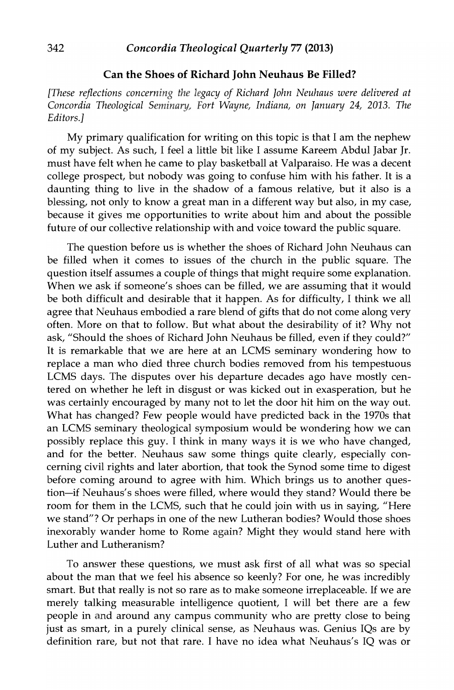### Can the Shoes of Richard John Neuhaus Be Filled?

*[These reflections concerning the legacy of Richard John Neuhaus were delivered at Concordia Theological Seminary, Fort Wayne, Indiana, on January* 24, *2013. The Editors.]* 

My primary qualification for writing on this topic is that I am the nephew of my subject. As such, I feel a little bit like I assume Kareem Abdul Jabar Jr. must have felt when he came to play basketball at Valparaiso. He was a decent college prospect, but nobody was going to confuse him with his father. It is a daunting thing to live in the shadow of a famous relative, but it also is a blessing, not only to know a great man in a different way but also, in my case, because it gives me opportunities to write about him and about the possible future of our collective relationship with and voice toward the public square.

The question before us is whether the shoes of Richard John Neuhaus can be filled when it comes to issues of the church in the public square. The question itself assumes a couple of things that might require some explanation. When we ask if someone's shoes can be filled, we are assuming that it would be both difficult and desirable that it happen. As for difficulty, I think we all agree that Neuhaus embodied a rare blend of gifts that do not come along very often. More on that to follow. But what about the desirability of it? Why not ask, "Should the shoes of Richard John Neuhaus be filled, even if they could?" It is remarkable that we are here at an LCMS seminary wondering how to replace a man who died three church bodies removed from his tempestuous LCMS days. The disputes over his departure decades ago have mostly centered on whether he left in disgust or was kicked out in exasperation, but he was certainly encouraged by many not to let the door hit him on the way out. What has changed? Few people would have predicted back in the 1970s that an LCMS seminary theological symposium would be wondering how we can possibly replace this guy. I think in many ways it is we who have changed, and for the better. Neuhaus saw some things quite clearly, especially concerning civil rights and later abortion, that took the Synod some time to digest before coming around to agree with him. Which brings us to another question-if Neuhaus's shoes were filled, where would they stand? Would there be room for them in the LCMS, such that he could join with us in saying, "Here we stand"? Or perhaps in one of the new Lutheran bodies? Would those shoes inexorably wander home to Rome again? Might they would stand here with Luther and Lutheranism?

To answer these questions, we must ask first of all what was so special about the man that we feel his absence so keenly? For one, he was incredibly smart. But that really is not so rare as to make someone irreplaceable. If we are merely talking measurable intelligence quotient, I will bet there are a few people in and around any campus community who are pretty close to being just as smart, in a purely clinical sense, as Neuhaus was. Genius IQs are by definition rare, but not that rare. I have no idea what Neuhaus's IQ was or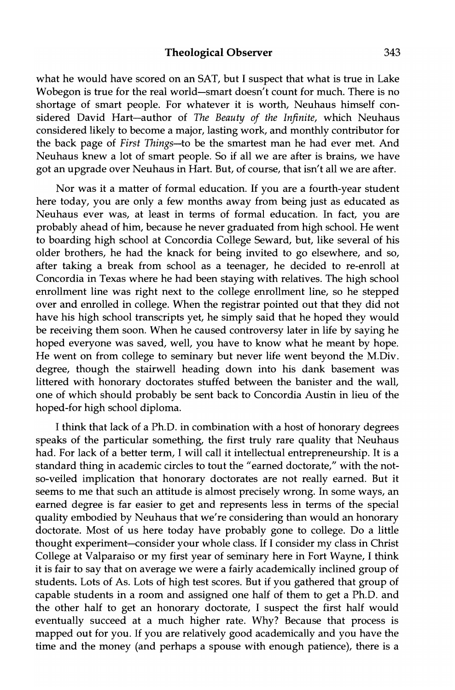what he would have scored on an SAT, but I suspect that what is true in Lake Wobegon is true for the real world-smart doesn't count for much. There is no shortage of smart people. For whatever it is worth, Neuhaus himself considered David Hart-author of *The Beauty of the Infinite,* which Neuhaus considered likely to become a major, lasting work, and monthly contributor for the back page of *First Things-to* be the smartest man he had ever met. And Neuhaus knew a lot of smart people. So if all we are after is brains, we have got an upgrade over Neuhaus in Hart. But, of course, that isn't all we are after.

Nor was it a matter of formal education. If you are a fourth-year student here today, you are only a few months away from being just as educated as Neuhaus ever was, at least in terms of formal education. In fact, you are probably ahead of him, because he never graduated from high school. He went to boarding high school at Concordia College Seward, but, like several of his older brothers, he had the knack for being invited to go elsewhere, and so, after taking a break from school as a teenager, he decided to re-enroll at Concordia in Texas where he had been staying with relatives. The high school enrollment line was right next to the college enrollment line, so he stepped over and enrolled in college. When the registrar pointed out that they did not have his high school transcripts yet, he simply said that he hoped they would be receiving them soon. When he caused controversy later in life by saying he hoped everyone was saved, well, you have to know what he meant by hope. He went on from college to seminary but never life went beyond the M.Div. degree, though the stairwell heading down into his dank basement was littered with honorary doctorates stuffed between the banister and the wall, one of which should probably be sent back to Concordia Austin in lieu of the hoped-for high school diploma.

I think that lack of a Ph.D. in combination with a host of honorary degrees speaks of the particular something, the first truly rare quality that Neuhaus had. For lack of a better term, I will call it intellectual entrepreneurship. It is a standard thing in academic circles to tout the "earned doctorate," with the notso-veiled implication that honorary doctorates are not really earned. But it seems to me that such an attitude is almost precisely wrong. In some ways, an earned degree is far easier to get and represents less in terms of the special quality embodied by Neuhaus that we're considering than would an honorary doctorate. Most of us here today have probably gone to college. Do a little thought experiment-consider your whole class. If I consider my class in Christ College at Valparaiso or my first year of seminary here in Fort Wayne, I think it is fair to say that on average we were a fairly academically inclined group of students. Lots of As. Lots of high test scores. But if you gathered that group of capable students in a room and assigned one half of them to get a Ph.D. and the other half to get an honorary doctorate, I suspect the first half would eventually succeed at a much higher rate. Why? Because that process is mapped out for you. If you are relatively good academically and you have the time and the money (and perhaps a spouse with enough patience), there is a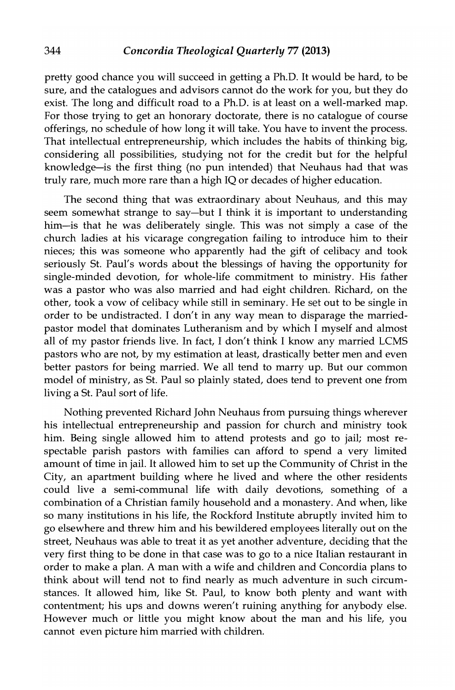pretty good chance you will succeed in getting a Ph.D. It would be hard, to be sure, and the catalogues and advisors cannot do the work for you, but they do exist. The long and difficult road to a Ph.D. is at least on a well-marked map. For those trying to get an honorary doctorate, there is no catalogue of course offerings, no schedule of how long it will take. You have to invent the process. That intellectual entrepreneurship, which includes the habits of thinking big, considering all possibilities, studying not for the credit but for the helpful knowledge-is the first thing (no pun intended) that Neuhaus had that was truly rare, much more rare than a high IQ or decades of higher education.

The second thing that was extraordinary about Neuhaus, and this may seem somewhat strange to say-but I think it is important to understanding him-is that he was deliberately single. This was not simply a case of the church ladies at his vicarage congregation failing to introduce him to their nieces; this was someone who apparently had the gift of celibacy and took seriously St. Paul's words about the blessings of having the opportunity for single-minded devotion, for whole-life commitment to ministry. His father was a pastor who was also married and had eight children. Richard, on the other, took a vow of celibacy while still in seminary. He set out to be single in order to be undistracted. I don't in any way mean to disparage the marriedpastor model that dominates Lutheranism and by which I myself and almost all of my pastor friends live. In fact, I don't think I know any married LCMS pastors who are not, by my estimation at least, drastically better men and even better pastors for being married. We all tend to marry up. But our common model of ministry, as St. Paul so plainly stated, does tend to prevent one from living a St. Paul sort of life.

Nothing prevented Richard John Neuhaus from pursuing things wherever his intellectual entrepreneurship and passion for church and ministry took him. Being single allowed him to attend protests and go to jail; most respectable parish pastors with families can afford to spend a very limited amount of time in jail. It allowed him to set up the Community of Christ in the City, an apartment building where he lived and where the other residents could live a semi-communal life with daily devotions, something of a combination of a Christian family household and a monastery. And when, like so many institutions in his life, the Rockford Institute abruptly invited him to go elsewhere and threw him and his bewildered employees literally out on the street, Neuhaus was able to treat it as yet another adventure, deciding that the very first thing to be done in that case was to go to a nice Italian restaurant in order to make a plan. A man with a wife and children and Concordia plans to think about will tend not to find nearly as much adventure in such circumstances. It allowed him, like St. Paul, to know both plenty and want with contentment; his ups and downs weren't ruining anything for anybody else. However much or little you might know about the man and his life, you cannot even picture him married with children.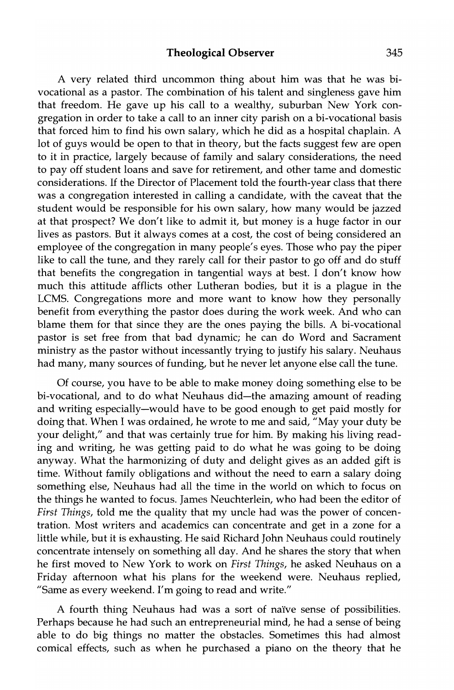A very related third uncommon thing about him was that he was bivocational as a pastor. The combination of his talent and singleness gave him that freedom. He gave up his call to a wealthy, suburban New York congregation in order to take a call to an inner city parish on a bi-vocational basis that forced him to find his own salary, which he did as a hospital chaplain. A lot of guys would be open to that in theory, but the facts suggest few are open to it in practice, largely because of family and salary considerations, the need to pay off student loans and save for retirement, and other tame and domestic considerations. If the Director of Placement told the fourth-year class that there was a congregation interested in calling a candidate, with the caveat that the student would be responsible for his own salary, how many would be jazzed at that prospect? We don't like to admit it, but money is a huge factor in our lives as pastors. But it always comes at a cost, the cost of being considered an employee of the congregation in many people's eyes. Those who pay the piper like to call the tune, and they rarely call for their pastor to go off and do stuff that benefits the congregation in tangential ways at best. I don't know how much this attitude afflicts other Lutheran bodies, but it is a plague in the LCMS. Congregations more and more want to know how they personally benefit from everything the pastor does during the work week. And who can blame them for that since they are the ones paying the bills. A bi-vocational pastor is set free from that bad dynamic; he can do Word and Sacrament ministry as the pastor without incessantly trying to justify his salary. Neuhaus had many, many sources of funding, but he never let anyone else call the tune.

Of course, you have to be able to make money doing something else to be bi-vocational, and to do what Neuhaus did-the amazing amount of reading and writing especially-would have to be good enough to get paid mostly for doing that. When I was ordained, he wrote to me and said, "May your duty be your delight/' and that was certainly true for him. By making his living reading and writing, he was getting paid to do what he was going to be doing anyway. What the harmonizing of duty and delight gives as an added gift is time. Without family obligations and without the need to earn a salary doing something else, Neuhaus had all the time in the world on which to focus on the things he wanted to focus. James Neuchterlein, who had been the editor of *First Things,* told me the quality that my uncle had was the power of concentration. Most writers and academics can concentrate and get in a zone for a little while, but it is exhausting. He said Richard John Neuhaus could routinely concentrate intensely on something all day. And he shares the story that when he first moved to New York to work on *First Things,* he asked Neuhaus on a Friday afternoon what his plans for the weekend were. Neuhaus replied, "Same as every weekend. I'm going to read and write."

A fourth thing Neuhaus had was a sort of naIve sense of possibilities. Perhaps because he had such an entrepreneurial mind, he had a sense of being able to do big things no matter the obstacles. Sometimes this had almost comical effects, such as when he purchased a piano on the theory that he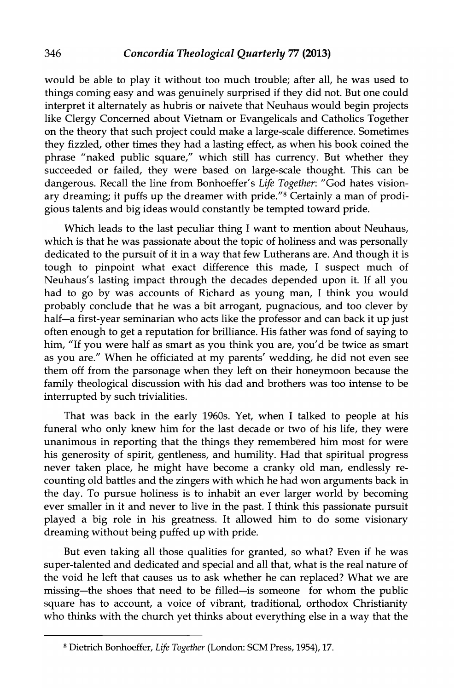would be able to play it without too much trouble; after all, he was used to things coming easy and was genuinely surprised if they did not. But one could interpret it alternately as hubris or naivete that Neuhaus would begin projects like Clergy Concerned about Vietnam or Evangelicals and Catholics Together on the theory that such project could make a large-scale difference. Sometimes they fizzled, other times they had a lasting effect, as when his book coined the phrase "naked public square," which still has currency. But whether they succeeded or failed, they were based on large-scale thought. This can be dangerous. Recall the line from Bonhoeffer's *Life Together:* "God hates visionary dreaming; it puffs up the dreamer with pride."<sup>8</sup> Certainly a man of prodigious talents and big ideas would constantly be tempted toward pride.

Which leads to the last peculiar thing I want to mention about Neuhaus, which is that he was passionate about the topic of holiness and was personally dedicated to the pursuit of it in a way that few Lutherans are. And though it is tough to pinpoint what exact difference this made, I suspect much of Neuhaus's lasting impact through the decades depended upon it. If all you had to go by was accounts of Richard as young man, I think you would probably conclude that he was a bit arrogant, pugnacious, and too clever by half-a first-year seminarian who acts like the professor and can back it up just often enough to get a reputation for brilliance. His father was fond of saying to him, "If you were half as smart as you think you are, you'd be twice as smart as you are." When he officiated at my parents' wedding, he did not even see them off from the parsonage when they left on their honeymoon because the family theological discussion with his dad and brothers was too intense to be interrupted by such trivialities.

That was back in the early 1960s. Yet, when I talked to people at his funeral who only knew him for the last decade or two of his life, they were unanimous in reporting that the things they remembered him most for were his generosity of spirit, gentleness, and humility. Had that spiritual progress never taken place, he might have become a cranky old man, endlessly recounting old battles and the zingers with which he had won arguments back in the day. To pursue holiness is to inhabit an ever larger world by becoming ever smaller in it and never to live in the past. I think this passionate pursuit played a big role in his greatness. It allowed him to do some visionary dreaming without being puffed up with pride.

But even taking all those qualities for granted, so what? Even if he was super-talented and dedicated and special and all that, what is the real nature of the void he left that causes us to ask whether he can replaced? What we are missing-the shoes that need to be filled-is someone for whom the public square has to account, a voice of vibrant, traditional, orthodox Christianity who thinks with the church yet thinks about everything else in a way that the

<sup>8</sup> Dietrich Bonhoeffer, *Life Together* (London: SCM Press, 1954), 17.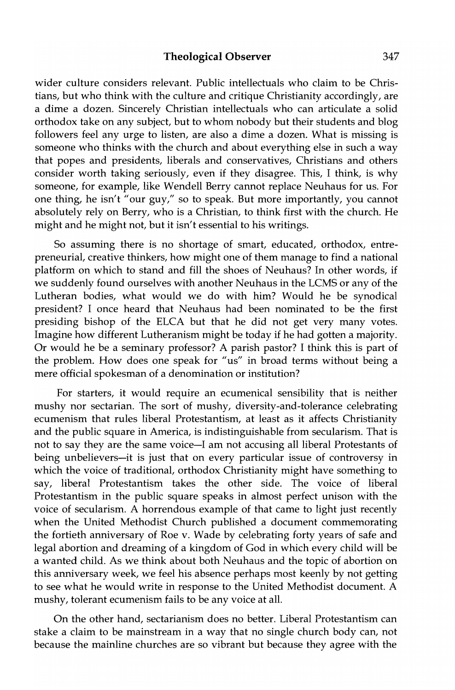wider culture considers relevant. Public intellectuals who claim to be Christians, but who think with the culture and critique Christianity accordingly, are a dime a dozen. Sincerely Christian intellectuals who can articulate a solid orthodox take on any subject, but to whom nobody but their students and blog followers feel any urge to listen, are also a dime a dozen. What is missing is someone who thinks with the church and about everything else in such a way that popes and presidents, liberals and conservatives, Christians and others consider worth taking seriously, even if they disagree. This, I think, is why someone, for example, like Wendell Berry cannot replace Neuhaus for us. For one thing, he isn't "our guy," so to speak. But more importantly, you cannot absolutely rely on Berry, who is a Christian, to think first with the church. He might and he might not, but it isn't essential to his writings.

So assuming there is no shortage of smart, educated, orthodox, entrepreneurial, creative thinkers, how might one of them manage to find a national platform on which to stand and fill the shoes of Neuhaus? In other words, if we suddenly found ourselves with another Neuhaus in the LCMS or any of the Lutheran bodies, what would we do with him? Would he be synodical president? I once heard that Neuhaus had been nominated to be the first presiding bishop of the ELCA but that he did not get very many votes. Imagine how different Lutheranism might be today if he had gotten a majority. Or would he be a seminary professor? A parish pastor? I think this is part of the problem. How does one speak for "us" in broad terms without being a mere official spokesman of a denomination or institution?

For starters, it would require an ecumenical sensibility that is neither mushy nor sectarian. The sort of mushy, diversity-and-tolerance celebrating ecumenism that rules liberal Protestantism, at least as it affects Christianity and the public square in America, is indistinguishable from secularism. That is not to say they are the same voice-I am not accusing all liberal Protestants of being unbelievers-it is just that on every particular issue of controversy in which the voice of traditional, orthodox Christianity might have something to say, liberal Protestantism takes the other side. The voice of liberal Protestantism in the public square speaks in almost perfect unison with the voice of secularism. A horrendous example of that came to light just recently when the United Methodist Church published a document commemorating the fortieth anniversary of Roe v. Wade by celebrating forty years of safe and legal abortion and dreaming of a kingdom of God in which every child will be a wanted child. As we think about both Neuhaus and the topic of abortion on this anniversary week, we feel his absence perhaps most keenly by not getting to see what he would write in response to the United Methodist document. A mushy, tolerant ecumenism fails to be any voice at all.

On the other hand, sectarianism does no better. Liberal Protestantism can stake a claim to be mainstream in a way that no single church body can, not because the mainline churches are so vibrant but because they agree with the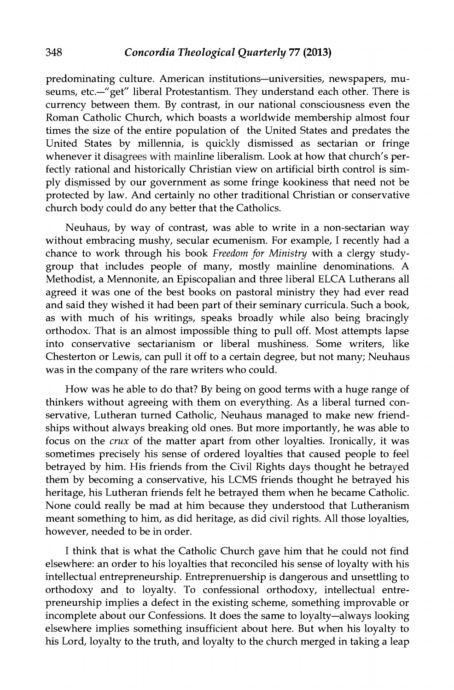predominating culture. American institutions-universities, newspapers, museums, etc.-"get" liberal Protestantism. They understand each other. There is currency between them. By contrast, in our national consciousness even the Roman Catholic Church, which boasts a worldwide membership almost four times the size of the entire population of the United States and predates the United States by millennia, is quickly dismissed as sectarian or fringe whenever it disagrees with mainline liberalism. Look at how that church's perfectly rational and historically Christian view on artificial birth control is simply dismissed by our government as some fringe kookiness that need not be protected by law. And certainly no other traditional Christian or conservative church body could do any better that the Catholics.

Neuhaus, by way of contrast, was able to write in a non-sectarian way without embracing mushy, secular ecumenism. For example, I recently had a chance to work through his book *Freedom for Ministry* with a clergy studygroup that includes people of many, mostly mainline denominations. A Methodist, a Mennonite, an Episcopalian and three liberal ELCA Lutherans all agreed it was one of the best books on pastoral ministry they had ever read and said they wished it had been part of their seminary curricula. Such a book, as with much of his writings, speaks broadly while also being bracingly orthodox. That is an almost impossible thing to pull off. Most attempts lapse into conservative sectarianism or liberal mushiness. Some writers, like Chesterton or Lewis, can pull it off to a certain degree, but not many; Neuhaus was in the company of the rare writers who could.

How was he able to do that? By being on good terms with a huge range of thinkers without agreeing with them on everything. As a liberal turned conservative, Lutheran turned Catholic, Neuhaus managed to make new friendships without always breaking old ones. But more importantly, he was able to focus on the *crux* of the matter apart from other loyalties. Ironically, it was sometimes precisely his sense of ordered loyalties that caused people to feel betrayed by him. His friends from the Civil Rights days thought he betrayed them by becoming a conservative, his LCMS friends thought he betrayed his heritage, his Lutheran friends felt he betrayed them when he became Catholic. None could really be mad at him because they understood that Lutheranism meant something to him, as did heritage, as did civil rights. All those loyalties, however, needed to be in order.

I think that is what the Catholic Church gave him that he could not find elsewhere: an order to his loyalties that reconciled his sense of loyalty with his intellectual entrepreneurship. Entreprenuership is dangerous and unsettling to orthodoxy and to loyalty. To confessional orthodoxy, intellectual entrepreneurship implies a defect in the existing scheme, something improvable or incomplete about our Confessions. It does the same to loyalty-always looking elsewhere implies something insufficient about here. But when his loyalty to his Lord, loyalty to the truth, and loyalty to the church merged in taking a leap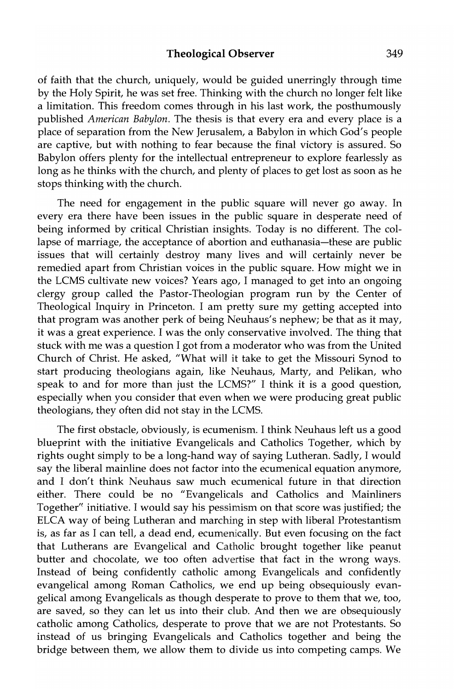#### **Theological Observer** 349

of faith that the church, uniquely, would be guided unerringly through time by the Holy Spirit, he was set free. Thinking with the church no longer felt like a limitation. This freedom comes through in his last work, the posthumously published *American Babylon.* The thesis is that every era and every place is a place of separation from the New Jerusalem, a Babylon in which God's people are captive, but with nothing to fear because the final victory is assured. So Babylon offers plenty for the intellectual entrepreneur to explore fearlessly as long as he thinks with the church, and plenty of places to get lost as soon as he stops thinking with the church.

The need for engagement in the public square will never go away. In every era there have been issues in the public square in desperate need of being informed by critical Christian insights. Today is no different. The collapse of marriage, the acceptance of abortion and euthanasia-these are public issues that will certainly destroy many lives and will certainly never be remedied apart from Christian voices in the public square. How might we in the LCMS cultivate new voices? Years ago, I managed to get into an ongoing clergy group called the Pastor-Theologian program run by the Center of Theological Inquiry in Princeton. I am pretty sure my getting accepted into that program was another perk of being Neuhaus's nephew; be that as it may, it was a great experience. I was the only conservative involved. The thing that stuck with me was a question I got from a moderator who was from the United Church of Christ. He asked, "What will it take to get the Missouri Synod to start producing theologians again, like Neuhaus, Marty, and Pelikan, who speak to and for more than just the LCMS?" I think it is a good question, especially when you consider that even when we were producing great public theologians, they often did not stay in the LCMS.

The first obstacle, obviously, is ecumenism. I think Neuhaus left us a good blueprint with the initiative Evangelicals and Catholics Together, which by rights ought simply to be a long-hand way of saying Lutheran. Sadly, I would say the liberal mainline does not factor into the ecumenical equation anymore, and I don't think Neuhaus saw much ecumenical future in that direction either. There could be no "Evangelicals and Catholics and Mainliners Together'{ initiative. I would say his pessimism on that score was justified; the ELCA way of being Lutheran and marching in step with liberal Protestantism is, as far as I can tell, a dead end, ecumenically. But even focusing on the fact that Lutherans are Evangelical and Catholic brought together like peanut butter and chocolate, we too often advertise that fact in the wrong ways. Instead of being confidently catholic among Evangelicals and confidently evangelical among Roman Catholics, we end up being obsequiously evangelical among Evangelicals as though desperate to prove to them that we, too, are saved, so they can let us into their club. And then we are obsequiously catholic among Catholics, desperate to prove that we are not Protestants. So instead of us bringing Evangelicals and Catholics together and being the bridge between them, we allow them to divide us into competing camps. We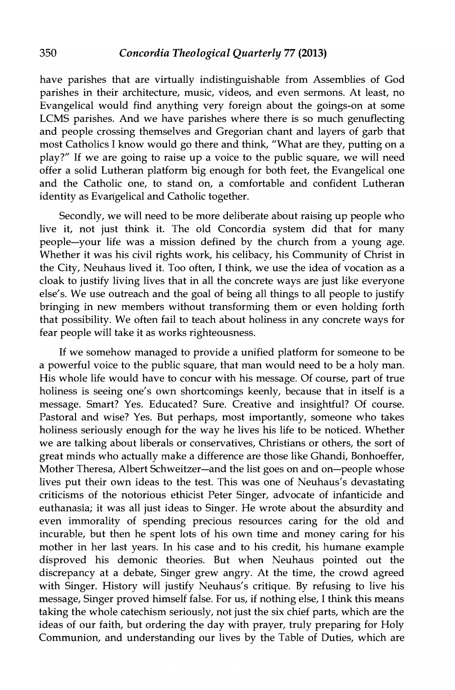have parishes that are virtually indistinguishable from Assemblies of God parishes in their architecture, music, videos, and even sermons. At least, no Evangelical would find anything very foreign about the goings-on at some LCMS parishes. And we have parishes where there is so much genuflecting and people crossing themselves and Gregorian chant and layers of garb that most Catholics I know would go there and think, "What are they, putting on a play?" If we are going to raise up a voice to the public square, we will need offer a solid Lutheran platform big enough for both feet, the Evangelical one and the Catholic one, to stand on, a comfortable and confident Lutheran identity as Evangelical and Catholic together.

Secondly, we will need to be more deliberate about raising up people who live it, not just think it. The old Concordia system did that for many people-your life was a mission defined by the church from a young age. Whether it was his civil rights work, his celibacy, his Community of Christ in the City, Neuhaus lived it. Too often, I think, we use the idea of vocation as a cloak to justify living lives that in all the concrete ways are just like everyone else's. We use outreach and the goal of being all things to all people to justify bringing in new members without transforming them or even holding forth that possibility. We often fail to teach about holiness in any concrete ways for fear people will take it as works righteousness.

If we somehow managed to provide a unified platform for someone to be a powerful voice to the public square, that man would need to be a holy man. His whole life would have to concur with his message. Of course, part of true holiness is seeing one's own shortcomings keenly, because that in itself is a message. Smart? Yes. Educated? Sure. Creative and insightful? Of course. Pastoral and wise? Yes. But perhaps, most importantly, someone who takes holiness seriously enough for the way he lives his life to be noticed. Whether we are talking about liberals or conservatives, Christians or others, the sort of great minds who actually make a difference are those like Ghandi, Bonhoeffer, Mother Theresa, Albert Schweitzer-and the list goes on and on-people whose lives put their own ideas to the test. This was one of Neuhaus's devastating criticisms of the notorious ethicist Peter Singer, advocate of infanticide and euthanasia; it was all just ideas to Singer. He wrote about the absurdity and even immorality of spending precious resources caring for the old and incurable, but then he spent lots of his own time and money caring for his mother in her last years. In his case and to his credit, his humane example disproved his demonic theories. But when Neuhaus pointed out the discrepancy at a debate, Singer grew angry. At the time, the crowd agreed with Singer. History will justify Neuhaus's critique. By refusing to live his message, Singer proved himself false. For us, if nothing else, I think this means taking the whole catechism seriously, not just the six chief parts, which are the ideas of our faith, but ordering the day with prayer, truly preparing for Holy Communion, and understanding our lives by the Table of Duties, which are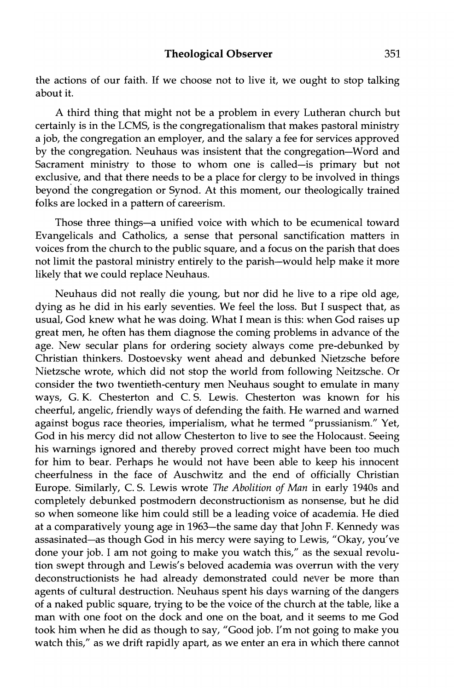the actions of our faith. If we choose not to live it, we ought to stop talking about it.

A third thing that might not be a problem in every Lutheran church but certainly is in the LCMS, is the congregationalism that makes pastoral ministry a job, the congregation an employer, and the salary a fee for services approved by the congregation. Neuhaus was insistent that the congregation-Word and Sacrament ministry to those to whom one is called-is primary but not exclusive, and that there needs to be a place for clergy to be involved in things beyond the congregation or Synod. At this moment, our theologically trained folks are locked in a pattern of careerism.

Those three things-a unified voice with which to be ecumenical toward Evangelicals and Catholics, a sense that personal sanctification matters in voices from the church to the public square, and a focus on the parish that does not limit the pastoral ministry entirely to the parish-would help make it more likely that we could replace Neuhaus.

Neuhaus did not really die young, but nor did he live to a ripe old age, dying as he did in his early seventies. We feel the loss. But I suspect that, as usual, God knew what he was doing. What I mean is this: when God raises up great men, he often has them diagnose the coming problems in advance of the age. New secular plans for ordering society always come pre-debunked by Christian thinkers. Dostoevsky went ahead and debunked Nietzsche before Nietzsche wrote, which did not stop the world from following Neitzsche. Or consider the two twentieth-century men Neuhaus sought to emulate in many ways, G. K. Chesterton and C. S. Lewis. Chesterton was known for his cheerful, angelic, friendly ways of defending the faith. He warned and warned against bogus race theories, imperialism, what he termed "prussianism." Yet, God in his mercy did not allow Chesterton to live to see the Holocaust. Seeing his warnings ignored and thereby proved correct might have been too much for him to bear. Perhaps he would not have been able to keep his innocent cheerfulness in the face of Auschwitz and the end of officially Christian Europe. Similarly, C. S. Lewis wrote *The Abolition of Man* in early 1940s and completely debunked postmodern deconstructionism as nonsense, but he did so when someone like him could still be a leading voice of academia. He died at a comparatively young age in 1963-the same day that John F. Kennedy was assasinated-as though God in his mercy were saying to Lewis, "Okay, you've done your job. I am not going to make you watch this," as the sexual revolution swept through and Lewis's beloved academia was overrun with the very deconstructionists he had already demonstrated could never be more than agents of cultural destruction. Neuhaus spent his days warning of the dangers of a naked public square, trying to be the voice of the church at the table, like a man with one foot on the dock and one on the boat, and it seems to me God took him when he did as though to say, "Good job. I'm not going to make you watch this," as we drift rapidly apart, as we enter an era in which there cannot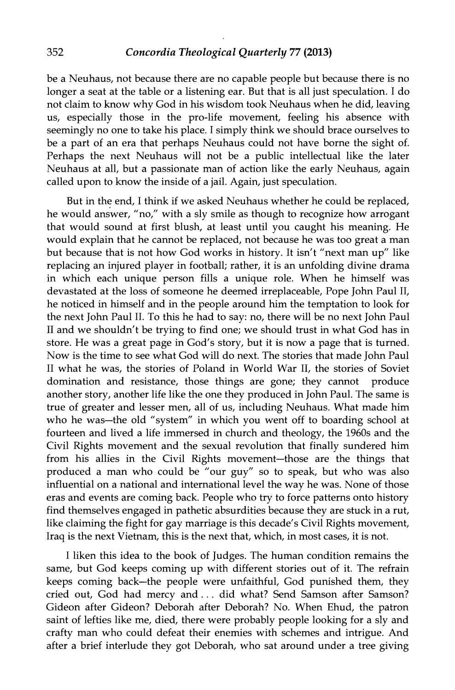#### 352 *Concordia Theological Quarterly* 77 (2013)

be a Neuhaus, not because there are no capable people but because there is no longer a seat at the table or a listening ear. But that is all just speculation. I do not claim to know why God in his wisdom took Neuhaus when he did, leaving us, especially those in the pro-life movement, feeling his absence with seemingly no one to take his place. I simply think we should brace ourselves to be a part of an era that perhaps Neuhaus could not have borne the sight of. Perhaps the next Neuhaus will not be a public intellectual like the later Neuhaus at all, but a passionate man of action like the early Neuhaus, again called upon to know the inside of a jail. Again, just speculation.

But in the end, I think if we asked Neuhaus whether he could be replaced, he would answer, "no," with a sly smile as though to recognize how arrogant that would sound at first blush, at least until you caught his meaning. He would explain that he cannot be replaced, not because he was too great a man but because that is not how God works in history. It isn't "next man up" like replacing an injured player in football; rather, it is an unfolding divine drama in which each unique person fills a unique role. When he himself was devastated at the loss of someone he deemed irreplaceable, Pope John Paul II, he noticed in himself and in the people around him the temptation to look for the next John Paul II. To this he had to say: no, there will be no next John Paul II and we shouldn't be trying to find one; we should trust in what God has in store. He was a great page in God's story, but it is now a page that is turned. Now is the time to see what God will do next. The stories that made John Paul II what he was, the stories of Poland in World War II, the stories of Soviet domination and resistance, those things are gone; they cannot produce another story, another life like the one they produced in John Paul. The same is true of greater and lesser men, all of us, including Neuhaus. What made him who he was-the old "system" in which you went off to boarding school at fourteen and lived a life immersed in church and theology, the 1960s and the Civil Rights movement and the sexual revolution that finally sundered him from his allies in the Civil Rights movement-those are the things that produced a man who could be "our guy" so to speak, but who was also influential on a national and international level the way he was. None of those eras and events are coming back. People who try to force patterns onto history find themselves engaged in pathetic absurdities because they are stuck in a rut, like claiming the fight for gay marriage is this decade's Civil Rights movement, Iraq is the next Vietnam, this is the next that, which, in most cases, it is not.

I liken this idea to the book of Judges. The human condition remains the same, but God keeps coming up with different stories out of it. The refrain keeps coming back-the people were unfaithful, God punished them, they cried out, God had mercy and ... did what? Send Samson after Samson? Gideon after Gideon? Deborah after Deborah? No. When Ehud, the patron saint of lefties like me, died, there were probably people looking for a sly and crafty man who could defeat their enemies with schemes and intrigue. And after a brief interlude they got Deborah, who sat around under a tree giving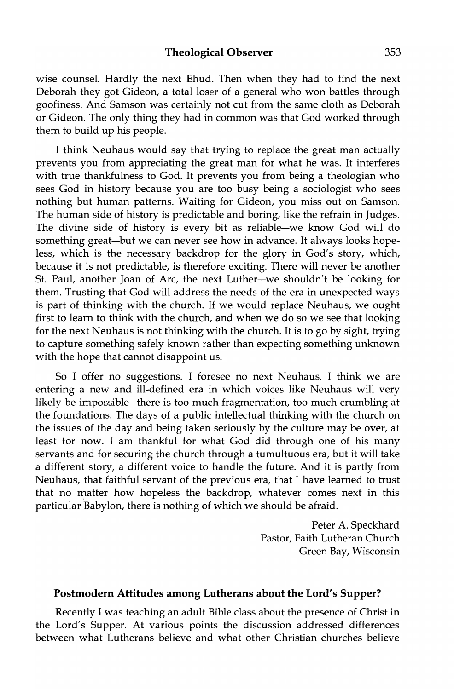wise counsel. Hardly the next Ehud. Then when they had to find the next Deborah they got Gideon, a total loser of a general who won battles through goofiness. And Samson was certainly not cut from the same cloth as Deborah or Gideon. The only thing they had in common was that God worked through them to build up his people.

I think Neuhaus would say that trying to replace the great man actually prevents you from appreciating the great man for what he was. It interferes with true thankfulness to God. It prevents you from being a theologian who sees God in history because you are too busy being a sociologist who sees nothing but human patterns. Waiting for Gideon, you miss out on Samson. The human side of history is predictable and boring, like the refrain in Judges. The divine side of history is every bit as reliable-we know God will do something great-but we can never see how in advance. It always looks hopeless, which is the necessary backdrop for the glory in God's story, which, because it is not predictable, is therefore exciting. There will never be another St. Paul, another Joan of Arc, the next Luther-we shouldn't be looking for them. Trusting that God will address the needs of the era in unexpected ways is part of thinking with the church. If we would replace Neuhaus, we ought first to learn to think with the church, and when we do so we see that looking for the next Neuhaus is not thinking with the church. It is to go by sight, trying to capture something safely known rather than expecting something unknown with the hope that cannot disappoint us.

So I offer no suggestions. I foresee no next Neuhaus. I think we are entering a new and ill-defined era in which voices like Neuhaus will very likely be impossible-there is too much fragmentation, too much crumbling at the foundations. The days of a public intellectual thinking with the church on the issues of the day and being taken seriously by the culture may be over, at least for now. I am thankful for what God did through one of his many servants and for securing the church through a tumultuous era, but it will take a different story, a different voice to handle the future. And it is partly from Neuhaus, that faithful servant of the previous era, that I have learned to trust that no matter how hopeless the backdrop, whatever comes next in this particular Babylon, there is nothing of which we should be afraid.

> Peter A. Speckhard Pastor, Faith Lutheran Church Green Bay, Wisconsin

### Postmodern Attitudes among Lutherans about the Lord's Supper?

Recently I was teaching an adult Bible class about the presence of Christ in the Lord's Supper. At various points the discussion addressed differences between what Lutherans believe and what other Christian churches believe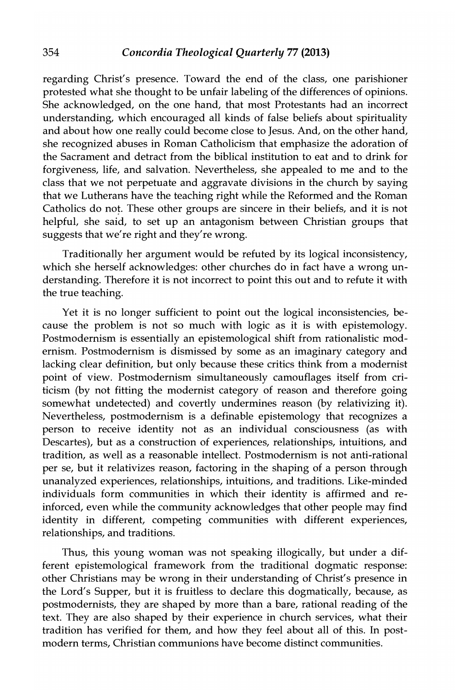regarding Christ's presence. Toward the end of the class, one parishioner protested what she thought to be unfair labeling of the differences of opinions. She acknowledged, on the one hand, that most Protestants had an incorrect understanding, which encouraged all kinds of false beliefs about spirituality and about how one really could become close to Jesus. And, on the other hand, she recognized abuses in Roman Catholicism that emphasize the adoration of the Sacrament and detract from the biblical institution to eat and to drink for forgiveness, life, and salvation. Nevertheless, she appealed to me and to the class that we not perpetuate and aggravate divisions in the church by saying that we Lutherans have the teaching right while the Reformed and the Roman Catholics do not. These other groups are sincere in their beliefs, and it is not helpful, she said, to set up an antagonism between Christian groups that suggests that we're right and they're wrong.

Traditionally her argument would be refuted by its logical inconsistency, which she herself acknowledges: other churches do in fact have a wrong understanding. Therefore it is not incorrect to point this out and to refute it with the true teaching.

Yet it is no longer sufficient to point out the logical inconsistencies, because the problem is not so much with logic as it is with epistemology. Postmodernism is essentially an epistemological shift from rationalistic modernism. Postmodernism is dismissed by some as an imaginary category and lacking clear definition, but only because these critics think from a modernist point of view. Postmodernism simultaneously camouflages itself from criticism (by not fitting the modernist category of reason and therefore going somewhat undetected) and covertly undermines reason (by relativizing it). Nevertheless, postmodernism is a definable epistemology that recognizes a person to receive identity not as an individual consciousness (as with Descartes), but as a construction of experiences, relationships, intuitions, and tradition, as well as a reasonable intellect. Postmodernism is not anti-rational per se, but it relativizes reason, factoring in the shaping of a person through unanalyzed experiences, relationships, intuitions, and traditions. Like-minded individuals form communities in which their identity is affirmed and reinforced, even while the community acknowledges that other people may find identity in different, competing communities with different experiences, relationships, and traditions.

Thus, this young woman was not speaking illogically, but under a different epistemological framework from the traditional dogmatic response: other Christians may be wrong in their understanding of Christ's presence in the Lord's Supper, but it is fruitless to declare this dogmatically, because, as postmodernists, they are shaped by more than a bare, rational reading of the text. They are also shaped by their experience in church services, what their tradition has verified for them, and how they feel about all of this. In postmodern terms, Christian communions have become distinct communities.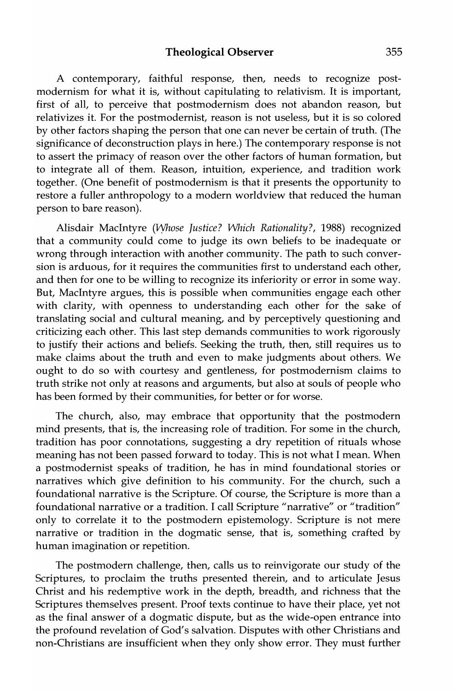A contemporary, faithful response, then, needs to recognize postmodernism for what it is, without capitulating to relativism. It is important, first of all, to perceive that postmodernism does not abandon reason, but relativizes it. For the postmodernist, reason is not useless, but it is so colored by other factors shaping the person that one can never be certain of truth. (The significance of deconstruction plays in here.) The contemporary response is not to assert the primacy of reason over the other factors of human formation, but to integrate all of them. Reason, intuition, experience, and tradition work together. (One benefit of postmodernism is that it presents the opportunity to restore a fuller anthropology to a modern worldview that reduced the human person to bare reason).

Alisdair MacIntyre *(vyhose Justice? Which Rationality?,* 1988) recognized that a community could come to judge its own beliefs to be inadequate or wrong through interaction with another community. The path to such conversion is arduous, for it requires the communities first to understand each other, and then for one to be willing to recognize its inferiority or error in some way. But, MacIntyre argues, this is possible when communities engage each other with clarity, with openness to understanding each other for the sake of translating social and cultural meaning, and by perceptively questioning and criticizing each other. This last step demands communities to work rigorously to justify their actions and beliefs. Seeking the truth, then, still requires us to make claims about the truth and even to make judgments about others. We ought to do so with courtesy and gentleness, for postmodernism claims to truth strike not only at reasons and arguments, but also at souls of people who has been formed by their communities, for better or for worse.

The church, also, may embrace that opportunity that the postmodern mind presents, that is, the increasing role of tradition. For some in the church, tradition has poor connotations, suggesting a dry repetition of rituals whose meaning has not been passed forward to today. This is not what I mean. When a postmodernist speaks of tradition, he has in mind foundational stories or narratives which give definition to his community. For the church, such a foundational narrative is the Scripture. Of course, the Scripture is more than a foundational narrative or a tradition. I call Scripture "narrative" or "tradition" only to correlate it to the postmodern epistemology. Scripture is not mere narrative or tradition in the dogmatic sense, that is, something crafted by human imagination or repetition.

The postmodern challenge, then, calls us to reinvigorate our study of the Scriptures, to proclaim the truths presented therein, and to articulate Jesus Christ and his redemptive work in the depth, breadth, and richness that the Scriptures themselves present. Proof texts continue to have their place, yet not as the final answer of a dogmatic dispute, but as the wide-open entrance into the profound revelation of God's salvation. Disputes with other Christians and non-Christians are insufficient when they only show error. They must further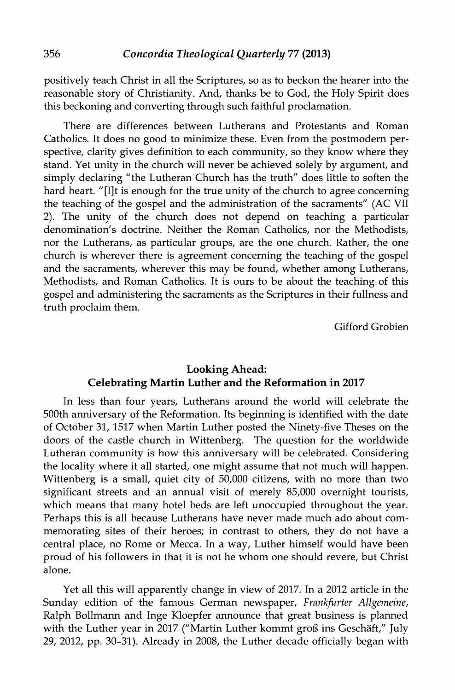positively teach Christ in all the Scriptures, so as to beckon the hearer into the reasonable story of Christianity. And, thanks be to God, the Holy Spirit does this beckoning and converting through such faithful proclamation.

There are differences between Lutherans and Protestants and Roman Catholics. It does no good to minimize these. Even from the postmodern perspective, clarity gives definition to each community, so they know where they stand. Yet unity in the church will never be achieved solely by argument, and simply declaring "the Lutheran Church has the truth" does little to soften the hard heart. "[I]t is enough for the true unity of the church to agree concerning the teaching of the gospel and the administration of the sacraments" (AC VII 2). The unity of the church does not depend on teaching a particular denomination's doctrine. Neither the Roman Catholics, nor the Methodists, nor the Lutherans, as particular groups, are the one church. Rather, the one church is wherever there is agreement concerning the teaching of the gospel and the sacraments, wherever this may be found, whether among Lutherans, Methodists, and Roman Catholics. It is ours to be about the teaching of this gospel and administering the sacraments as the Scriptures in their fullness and truth proclaim them.

Gifford Grobien

# Looking Ahead: Celebrating Martin Luther and the Reformation in 2017

In less than four years, Lutherans around the world will celebrate the SOOth anniversary of the Reformation. Its beginning is identified with the date of October 31, 1517 when Martin Luther posted the Ninety-five Theses on the doors of the castle church in Wittenberg. The question for the worldwide Lutheran community is how this anniversary will be celebrated. Considering the locality where it all started, one might assume that not much will happen. Wittenberg is a small, quiet city of 50,000 citizens, with no more than two significant streets and an annual visit of merely 85,000 overnight tourists, which means that many hotel beds are left unoccupied throughout the year. Perhaps this is all because Lutherans have never made much ado about commemorating sites of their heroes; in contrast to others, they do not have a central place, no Rome or Mecca. In a way, Luther himself would have been proud of his followers in that it is not he whom one should revere, but Christ alone.

Yet all this will apparently change in view of 2017. In a 2012 article in the Sunday edition of the famous German newspaper, *Frankfurter Allgemeine,*  Ralph Bollmann and Inge Kloepfer announce that great business is planned with the Luther year in 2017 ("Martin Luther kommt groß ins Geschäft," July 29, 2012, pp. 30-31). Already in 2008, the Luther decade officially began with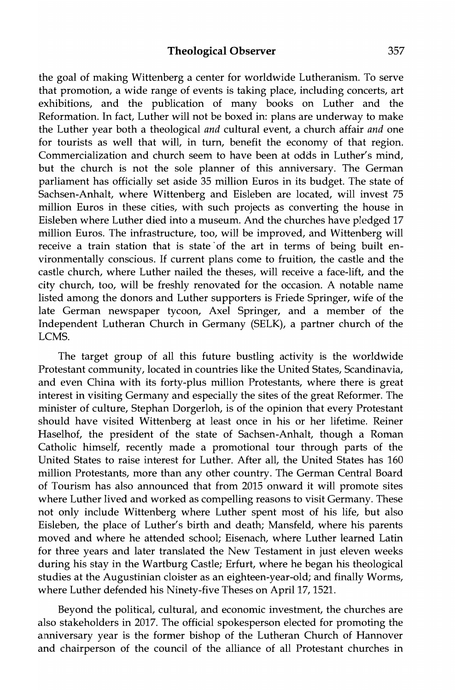the goal of making Wittenberg a center for worldwide Lutheranism. To serve that promotion, a wide range of events is taking place, including concerts, art exhibitions, and the publication of many books on Luther and the Reformation. In fact, Luther will not be boxed in: plans are underway to make the Luther year both a theological *and* cultural event, a church affair *and* one for tourists as well that will, in tum, benefit the economy of that region. Commercialization and church seem to have been at odds in Luther's mind, but the church is not the sole planner of this anniversary. The German parliament has officially set aside 35 million Euros in its budget. The state of Sachsen-Anhalt, where Wittenberg and Eisleben are located, will invest 75 million Euros in these cities, with such projects as converting the house in Eisleben where Luther died into a museum. And the churches have pledged 17 million Euros. The infrastructure, too, will be improved, and Wittenberg will receive a train station that is state of the art in terms of being built environmentally conscious. If current plans come to fruition, the castle and the castle church, where Luther nailed the theses, will receive a face-lift, and the city church, too, will be freshly renovated for the occasion. A notable name listed among the donors and Luther supporters is Friede Springer, wife of the late German newspaper tycoon, Axel Springer, and a member of the Independent Lutheran Church in Germany (SELK), a partner church of the LCMS.

The target group of all this future bustling activity is the worldwide Protestant community, located in countries like the United States, Scandinavia, and even China with its forty-plus million Protestants, where there is great interest in visiting Germany and especially the sites of the great Reformer. The minister of culture, Stephan Dorgerloh, is of the opinion that every Protestant should have visited Wittenberg at least once in his or her lifetime. Reiner Haselhof, the president of the state of Sachsen-Anhalt, though a Roman Catholic himself, recently made a promotional tour through parts of the United States to raise interest for Luther. After all, the United States has 160 million Protestants, more than any other country. The German Central Board of Tourism has also announced that from 2015 onward it will promote sites where Luther lived and worked as compelling reasons to visit Germany. These not only include Wittenberg where Luther spent most of his life, but also Eisleben, the place of Luther's birth and death; Mansfeld, where his parents moved and where he attended school; Eisenach, where Luther learned Latin for three years and later translated the New Testament in just eleven weeks during his stay in the Wartburg Castle; Erfurt, where he began his theological studies at the Augustinian cloister as an eighteen-year-old; and finally Worms, where Luther defended his Ninety-five Theses on April 17, 1521.

Beyond the political, cultural, and economic investment, the churches are also stakeholders in 2017. The official spokesperson elected for promoting the anniversary year is the former bishop of the Lutheran Church of Hannover and chairperson of the council of the alliance of all Protestant churches in